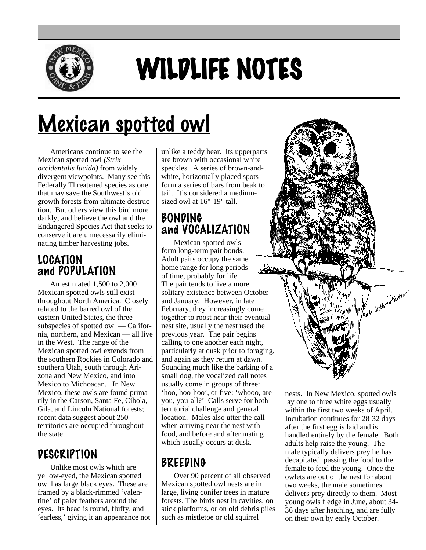

# WILDLIFE NOTES

# Mexican spotted owl

Americans continue to see the Mexican spotted owl *(Strix occidentalis lucida)* from widely divergent viewpoints. Many see this Federally Threatened species as one that may save the Southwest's old growth forests from ultimate destruction. But others view this bird more darkly, and believe the owl and the Endangered Species Act that seeks to conserve it are unnecessarily eliminating timber harvesting jobs.

#### LOCATION and POPULATION

An estimated 1,500 to 2,000 Mexican spotted owls still exist throughout North America. Closely related to the barred owl of the eastern United States, the three subspecies of spotted owl — California, northern, and Mexican — all live in the West. The range of the Mexican spotted owl extends from the southern Rockies in Colorado and southern Utah, south through Arizona and New Mexico, and into Mexico to Michoacan. In New Mexico, these owls are found primarily in the Carson, Santa Fe, Cibola, Gila, and Lincoln National forests; recent data suggest about 250 territories are occupied throughout the state.

#### DESCRIPTION

Unlike most owls which are yellow-eyed, the Mexican spotted owl has large black eyes. These are framed by a black-rimmed 'valentine' of paler feathers around the eyes. Its head is round, fluffy, and 'earless,' giving it an appearance not unlike a teddy bear. Its upperparts are brown with occasional white speckles. A series of brown-andwhite, horizontally placed spots form a series of bars from beak to tail. It's considered a mediumsized owl at 16"-19" tall.

#### BONDING and VOCALIZATION

Mexican spotted owls form long-term pair bonds. Adult pairs occupy the same home range for long periods of time, probably for life. The pair tends to live a more solitary existence between October and January. However, in late February, they increasingly come together to roost near their eventual nest site, usually the nest used the previous year. The pair begins calling to one another each night, particularly at dusk prior to foraging, and again as they return at dawn. Sounding much like the barking of a small dog, the vocalized call notes usually come in groups of three: 'hoo, hoo-hoo', or five: 'whooo, are you, you-all?' Calls serve for both territorial challenge and general location. Males also utter the call when arriving near the nest with food, and before and after mating which usually occurs at dusk.

### BREEDING

Over 90 percent of all observed Mexican spotted owl nests are in large, living conifer trees in mature forests. The birds nest in cavities, on stick platforms, or on old debris piles such as mistletoe or old squirrel

nests. In New Mexico, spotted owls lay one to three white eggs usually within the first two weeks of April. Incubation continues for 28-32 days after the first egg is laid and is handled entirely by the female. Both adults help raise the young. The male typically delivers prey he has decapitated, passing the food to the female to feed the young. Once the owlets are out of the nest for about two weeks, the male sometimes delivers prey directly to them. Most young owls fledge in June, about 34- 36 days after hatching, and are fully on their own by early October.

Kathi Groffwon Partier